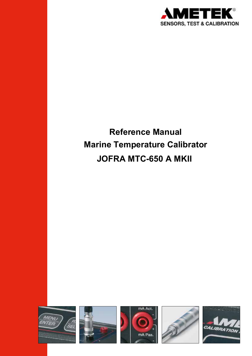

# **Reference Manual Marine Temperature Calibrator JOFRA MTC-650 A MKII**

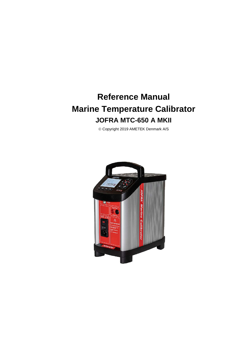# **Reference Manual Marine Temperature Calibrator JOFRA MTC-650 A MKII**

Copyright 2019 AMETEK Denmark A/S

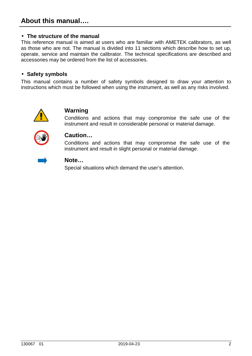#### • **The structure of the manual**

This reference manual is aimed at users who are familiar with AMETEK calibrators, as well as those who are not. The manual is divided into 11 sections which describe how to set up, operate, service and maintain the calibrator. The technical specifications are described and accessories may be ordered from the list of accessories.

#### • **Safety symbols**

This manual contains a number of safety symbols designed to draw your attention to instructions which must be followed when using the instrument, as well as any risks involved.



#### **Warning**

Conditions and actions that may compromise the safe use of the instrument and result in considerable personal or material damage.



#### **Caution…**

Conditions and actions that may compromise the safe use of the instrument and result in slight personal or material damage.



#### **Note…**

Special situations which demand the user's attention.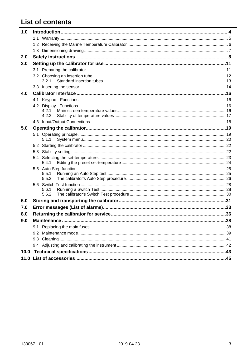# **List of contents**

| 1.0 |     |                |  |  |  |  |
|-----|-----|----------------|--|--|--|--|
|     |     |                |  |  |  |  |
|     |     |                |  |  |  |  |
|     |     |                |  |  |  |  |
| 2.0 |     |                |  |  |  |  |
| 3.0 |     |                |  |  |  |  |
|     |     |                |  |  |  |  |
|     |     |                |  |  |  |  |
|     |     | 3.2.1          |  |  |  |  |
|     |     |                |  |  |  |  |
| 4.0 |     |                |  |  |  |  |
|     |     |                |  |  |  |  |
|     |     |                |  |  |  |  |
|     |     | 4.2.1<br>4.2.2 |  |  |  |  |
|     |     |                |  |  |  |  |
| 5.0 |     |                |  |  |  |  |
|     |     |                |  |  |  |  |
|     |     | 5.1.1          |  |  |  |  |
|     |     |                |  |  |  |  |
|     |     |                |  |  |  |  |
|     |     | 5.4.1          |  |  |  |  |
|     |     |                |  |  |  |  |
|     |     | 5.5.1          |  |  |  |  |
|     |     | 5.5.2          |  |  |  |  |
|     |     |                |  |  |  |  |
|     |     | 5.6.1<br>5.6.2 |  |  |  |  |
| 6.0 |     |                |  |  |  |  |
| 7.0 |     |                |  |  |  |  |
|     |     |                |  |  |  |  |
| 8.0 |     |                |  |  |  |  |
| 9.0 |     |                |  |  |  |  |
|     | 9.1 |                |  |  |  |  |
|     |     |                |  |  |  |  |
|     |     |                |  |  |  |  |
|     |     |                |  |  |  |  |
|     |     |                |  |  |  |  |
|     |     |                |  |  |  |  |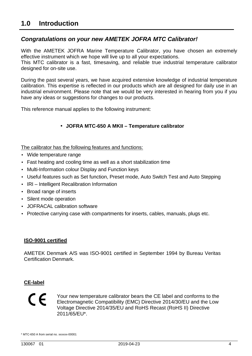#### **Congratulations on your new AMETEK JOFRA MTC Calibrator!**

With the AMETEK JOFRA Marine Temperature Calibrator, you have chosen an extremely effective instrument which we hope will live up to all your expectations.

This MTC calibrator is a fast, timesaving, and reliable true industrial temperature calibrator designed for on-site use.

During the past several years, we have acquired extensive knowledge of industrial temperature calibration. This expertise is reflected in our products which are all designed for daily use in an industrial environment. Please note that we would be very interested in hearing from you if you have any ideas or suggestions for changes to our products.

This reference manual applies to the following instrument:

#### • **JOFRA MTC-650 A MKII – Temperature calibrator**

The calibrator has the following features and functions:

- Wide temperature range
- Fast heating and cooling time as well as a short stabilization time
- Multi-Information colour Display and Function keys
- Useful features such as Set function, Preset mode, Auto Switch Test and Auto Stepping
- IRI Intelligent Recalibration Information
- Broad range of inserts
- Silent mode operation
- JOFRACAL calibration software
- Protective carrying case with compartments for inserts, cables, manuals, plugs etc.

#### **ISO-9001 certified**

AMETEK Denmark A/S was ISO-9001 certified in September 1994 by Bureau Veritas Certification Denmark.

#### **CE-label**

# $\epsilon$

Your new temperature calibrator bears the CE label and conforms to the Electromagnetic Compatibility (EMC) Directive 2014/30/EU and the Low Voltage Directive 2014/35/EU and RoHS Recast (RoHS II) Directive 2011/65/EU\*.

<sup>\*</sup> MTC-650 A from serial no. xxxxxx-00001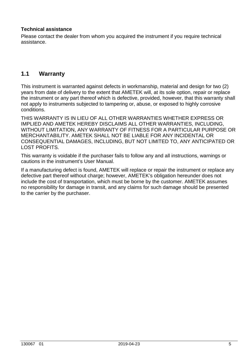#### **Technical assistance**

Please contact the dealer from whom you acquired the instrument if you require technical assistance.

#### **1.1 Warranty**

This instrument is warranted against defects in workmanship, material and design for two (2) years from date of delivery to the extent that AMETEK will, at its sole option, repair or replace the instrument or any part thereof which is defective, provided, however, that this warranty shall not apply to instruments subjected to tampering or, abuse, or exposed to highly corrosive conditions.

THIS WARRANTY IS IN LIEU OF ALL OTHER WARRANTIES WHETHER EXPRESS OR IMPLIED AND AMETEK HEREBY DISCLAIMS ALL OTHER WARRANTIES, INCLUDING, WITHOUT LIMITATION, ANY WARRANTY OF FITNESS FOR A PARTICULAR PURPOSE OR MERCHANTABILITY. AMETEK SHALL NOT BE LIABLE FOR ANY INCIDENTAL OR CONSEQUENTIAL DAMAGES, INCLUDING, BUT NOT LIMITED TO, ANY ANTICIPATED OR LOST PROFITS.

This warranty is voidable if the purchaser fails to follow any and all instructions, warnings or cautions in the instrument's User Manual.

If a manufacturing defect is found, AMETEK will replace or repair the instrument or replace any defective part thereof without charge; however, AMETEK's obligation hereunder does not include the cost of transportation, which must be borne by the customer. AMETEK assumes no responsibility for damage in transit, and any claims for such damage should be presented to the carrier by the purchaser.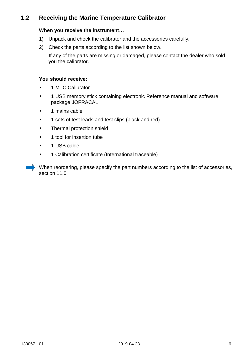#### **1.2 Receiving the Marine Temperature Calibrator**

#### **When you receive the instrument…**

- 1) Unpack and check the calibrator and the accessories carefully.
- 2) Check the parts according to the list shown below.

If any of the parts are missing or damaged, please contact the dealer who sold you the calibrator.

#### **You should receive:**

- 1 MTC Calibrator
- 1 USB memory stick containing electronic Reference manual and software package JOFRACAL
- 1 mains cable
- 1 sets of test leads and test clips (black and red)
- Thermal protection shield
- 1 tool for insertion tube
- 1 USB cable
- 1 Calibration certificate (International traceable)

When reordering, please specify the part numbers according to the list of accessories, section 11.0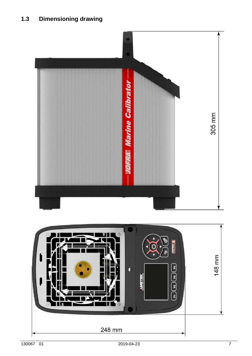

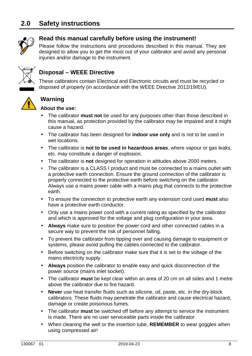

#### **Read this manual carefully before using the instrument!**

Please follow the instructions and procedures described in this manual. They are designed to allow you to get the most out of your calibrator and avoid any personal injuries and/or damage to the instrument.



#### **Disposal – WEEE Directive**

These calibrators contain Electrical and Electronic circuits and must be recycled or disposed of properly (in accordance with the WEEE Directive 2012/19/EU).



## **Warning**

#### **About the use:**

- The calibrator **must not** be used for any purposes other than those described in this manual, as protection provided by the calibrator may be impaired and it might cause a hazard.
- The calibrator has been designed for **indoor use only** and is not to be used in wet locations.
- The calibrator is **not to be used in hazardous areas**, where vapour or gas leaks, etc. may constitute a danger of explosion.
- The calibrator is **not** designed for operation in altitudes above 2000 meters.
- The calibrator is a CLASS I product and must be connected to a mains outlet with a protective earth connection. Ensure the ground connection of the calibrator is properly connected to the protective earth before switching on the calibrator. Always use a mains power cable with a mains plug that connects to the protective earth.
- To ensure the connection to protective earth any extension cord used **must** also have a protective earth conductor.
- Only use a mains power cord with a current rating as specified by the calibrator and which is approved for the voltage and plug configuration in your area.
- **Always** make sure to position the power cord and other connected cables in a secure way to prevent the risk of personnel falling.
- To prevent the calibrator from tipping over and causing damage to equipment or systems, please avoid pulling the cables connected to the calibrator.
- Before switching on the calibrator make sure that it is set to the voltage of the mains electricity supply.
- **Always** position the calibrator to enable easy and quick disconnection of the power source (mains inlet socket).
- The calibrator **must** be kept clear within an area of 20 cm on all sides and 1 metre above the calibrator due to fire hazard.
- **Never** use heat transfer fluids such as silicone, oil, paste, etc. in the dry-block calibrators. These fluids may penetrate the calibrator and cause electrical hazard, damage or create poisonous fumes.
- The calibrator **must** be switched off before any attempt to service the instrument is made. There are no user serviceable parts inside the calibrator.
- When cleaning the well or the insertion tube, **REMEMBER** to wear goggles when using compressed air!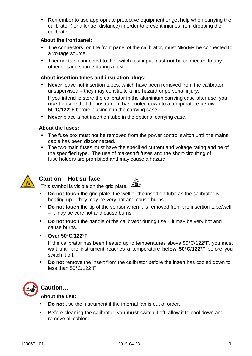• Remember to use appropriate protective equipment or get help when carrying the calibrator (for a longer distance) in order to prevent injuries from dropping the calibrator.

#### **About the frontpanel:**

- The connectors, on the front panel of the calibrator, must **NEVER** be connected to a voltage source.
- Thermostats connected to the switch test input must **not** be connected to any other voltage source during a test.

#### **About insertion tubes and insulation plugs:**

- **Never** leave hot insertion tubes, which have been removed from the calibrator, unsupervised – they may constitute a fire hazard or personal injury. If you intend to store the calibrator in the aluminium carrying case after use, you **must** ensure that the instrument has cooled down to a temperature **below 50°C/122°F** before placing it in the carrying case.
- **Never** place a hot insertion tube in the optional carrying case.

#### **About the fuses:**

- The fuse box must not be removed from the power control switch until the mains cable has been disconnected.
- The two main fuses must have the specified current and voltage rating and be of the specified type. The use of makeshift fuses and the short-circuiting of fuse holders are prohibited and may cause a hazard.



#### **Caution – Hot surface**



- **Do not touch** the grid plate, the well or the insertion tube as the calibrator is heating up – they may be very hot and cause burns.
- **Do not touch** the tip of the sensor when it is removed from the insertion tube/well – it may be very hot and cause burns.
- **Do not touch** the handle of the calibrator during use it may be very hot and cause burns.
- **Over 50°C/122°F**

 If the calibrator has been heated up to temperatures above 50°C/122°F, you must wait until the instrument reaches a temperature **below 50°C/122°F** before you switch it off.

• **Do not** remove the insert from the calibrator before the insert has cooled down to less than 50°C/122°F.



#### **Caution…**

#### **About the use:**

- **Do not** use the instrument if the internal fan is out of order.
- Before cleaning the calibrator, you **must** switch it off, allow it to cool down and remove all cables.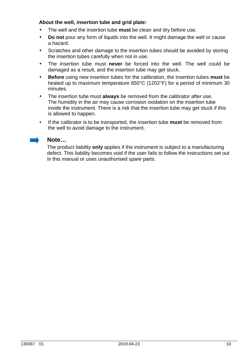#### **About the well, insertion tube and grid plate:**

- The well and the insertion tube **must** be clean and dry before use.
- **Do not** pour any form of liquids into the well. It might damage the well or cause a hazard.
- Scratches and other damage to the insertion tubes should be avoided by storing the insertion tubes carefully when not in use.
- The insertion tube must **never** be forced into the well. The well could be damaged as a result, and the insertion tube may get stuck.
- **Before** using new insertion tubes for the calibration, the insertion tubes **must** be heated up to maximum temperature 650°C (1202°F) for a period of minimum 30 minutes.
- The insertion tube must **always** be removed from the calibrator after use. The humidity in the air may cause corrosion oxidation on the insertion tube inside the instrument. There is a risk that the insertion tube may get stuck if this is allowed to happen.
- If the calibrator is to be transported, the insertion tube **must** be removed from the well to avoid damage to the instrument.



#### **Note…**

The product liability **only** applies if the instrument is subject to a manufacturing defect. This liability becomes void if the user fails to follow the instructions set out in this manual or uses unauthorised spare parts.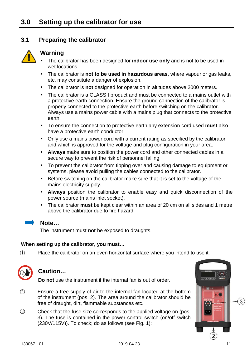#### **3.1 Preparing the calibrator**



#### **Warning**

- The calibrator has been designed for **indoor use only** and is not to be used in wet locations.
- The calibrator is **not to be used in hazardous areas**, where vapour or gas leaks, etc. may constitute a danger of explosion.
- The calibrator is **not** designed for operation in altitudes above 2000 meters.
- The calibrator is a CLASS I product and must be connected to a mains outlet with a protective earth connection. Ensure the ground connection of the calibrator is properly connected to the protective earth before switching on the calibrator. Always use a mains power cable with a mains plug that connects to the protective earth.
- To ensure the connection to protective earth any extension cord used **must** also have a protective earth conductor.
- Only use a mains power cord with a current rating as specified by the calibrator and which is approved for the voltage and plug configuration in your area.
- **Always** make sure to position the power cord and other connected cables in a secure way to prevent the risk of personnel falling.
- To prevent the calibrator from tipping over and causing damage to equipment or systems, please avoid pulling the cables connected to the calibrator.
- Before switching on the calibrator make sure that it is set to the voltage of the mains electricity supply.
- **Always** position the calibrator to enable easy and quick disconnection of the power source (mains inlet socket).
- The calibrator **must** be kept clear within an area of 20 cm on all sides and 1 metre above the calibrator due to fire hazard.



#### **Note…**

The instrument must **not** be exposed to draughts.

#### **When setting up the calibrator, you must…**

 $(1)$  Place the calibrator on an even horizontal surface where you intend to use it.



#### **Caution…**

**Do not** use the instrument if the internal fan is out of order.

- 2 Ensure a free supply of air to the internal fan located at the bottom of the instrument (pos. 2). The area around the calibrator should be free of draught, dirt, flammable substances etc.
- 3 Check that the fuse size corresponds to the applied voltage on (pos. 3). The fuse is contained in the power control switch (on/off switch (230V/115V)). To check; do as follows (see Fig. 1):

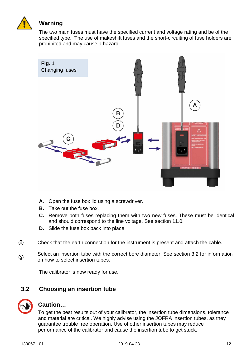

## **Warning**

 The two main fuses must have the specified current and voltage rating and be of the specified type. The use of makeshift fuses and the short-circuiting of fuse holders are prohibited and may cause a hazard.



- **A.** Open the fuse box lid using a screwdriver.
- **B.** Take out the fuse box.
- **C.** Remove both fuses replacing them with two new fuses. These must be identical and should correspond to the line voltage. See section 11.0.
- **D.** Slide the fuse box back into place.
- 4 Check that the earth connection for the instrument is present and attach the cable.
- $(5)$ Select an insertion tube with the correct bore diameter. See section 3.2 for information on how to select insertion tubes.

The calibrator is now ready for use.

#### **3.2 Choosing an insertion tube**



#### **Caution…**

To get the best results out of your calibrator, the insertion tube dimensions, tolerance and material are critical. We highly advise using the JOFRA insertion tubes, as they guarantee trouble free operation. Use of other insertion tubes may reduce performance of the calibrator and cause the insertion tube to get stuck.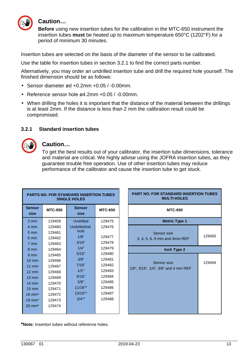

#### **Caution…**

**Before** using new insertion tubes for the calibration in the MTC-650 instrument the insertion tubes **must** be heated up to maximum temperature 650°C (1202°F) for a period of minimum 30 minutes.

Insertion tubes are selected on the basis of the diameter of the sensor to be calibrated.

Use the table for insertion tubes in section 3.2.1 to find the correct parts number.

Alternatively, you may order an undrilled insertion tube and drill the required hole yourself. The finished dimension should be as follows:

- Sensor diameter ød +0.2mm +0.05 / -0.00mm.
- Reference sensor hole ø4.2mm +0.05 / -0.00mm.
- When drilling the holes it is important that the distance of the material between the drillings is at least 2mm. If the distance is less than 2 mm the calibration result could be compromised.

#### **3.2.1 Standard insertion tubes**



#### **Caution…**

To get the best results out of your calibrator, the insertion tube dimensions, tolerance and material are critical. We highly advise using the JOFRA insertion tubes, as they guarantee trouble free operation. Use of other insertion tubes may reduce performance of the calibrator and cause the insertion tube to get stuck.

| <b>PARTS NO. FOR STANDARD INSERTION TUBES</b><br><b>SINGLE HOLES</b> |                |                       |                |  |  |  |
|----------------------------------------------------------------------|----------------|-----------------------|----------------|--|--|--|
| <b>Sensor</b><br>size                                                | <b>MTC-650</b> | <b>Sensor</b><br>size | <b>MTC-650</b> |  |  |  |
| 3 mm                                                                 | 129459         | Undrilled             | 129475         |  |  |  |
| 4 mm                                                                 | 129460         | Undrilled/ref.        | 129476         |  |  |  |
| $5 \text{ mm}$                                                       | 129461         | hole                  |                |  |  |  |
| 6 mm                                                                 | 129462         | 1/8"                  | 129477         |  |  |  |
| 7 mm                                                                 | 129463         | 3/16"                 | 129478         |  |  |  |
| 8 mm                                                                 | 129464         | 1/4"                  | 129479         |  |  |  |
| $9 \text{ mm}$                                                       | 129465         | 5/16"                 | 129480         |  |  |  |
| $10 \text{ mm}$                                                      | 129466         | 3/8"                  | 129481         |  |  |  |
| $11 \text{ mm}$                                                      | 129467         | 7/16"                 | 129482         |  |  |  |
| $12 \text{ mm}$                                                      | 129468         | 1/2"                  | 129483         |  |  |  |
| $13 \text{ mm}$                                                      | 129469         | 9/16"                 | 129484         |  |  |  |
| $14 \text{ mm}$                                                      | 129470         | 5/8"                  | 129485         |  |  |  |
| $15 \text{ mm}$                                                      | 129471         | $11/16"$ *            | 129486         |  |  |  |
| $16 \text{ mm}^*$                                                    | 129472         | 13/16"*               | 129487         |  |  |  |
| $18 \text{ mm}^*$                                                    | 129473         | $3/4"$ *              | 129488         |  |  |  |
| $20 \text{ mm}^*$                                                    | 129474         |                       |                |  |  |  |



**\*Note:** Insertion tubes without reference holes.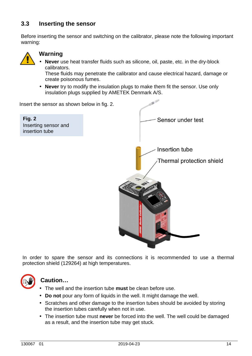#### **3.3 Inserting the sensor**

Before inserting the sensor and switching on the calibrator, please note the following important warning:



#### **Warning**

• **Never** use heat transfer fluids such as silicone, oil, paste, etc. in the dry-block calibrators.

 These fluids may penetrate the calibrator and cause electrical hazard, damage or create poisonous fumes.

• **Never** try to modify the insulation plugs to make them fit the sensor. Use only insulation plugs supplied by AMETEK Denmark A/S.

Insert the sensor as shown below in fig. 2.

| Fig. 2               |  |
|----------------------|--|
| Inserting sensor and |  |
| insertion tube       |  |



In order to spare the sensor and its connections it is recommended to use a thermal protection shield (129264) at high temperatures.



## **Caution…**

- The well and the insertion tube **must** be clean before use.
- **Do not** pour any form of liquids in the well. It might damage the well.
- Scratches and other damage to the insertion tubes should be avoided by storing the insertion tubes carefully when not in use.
- The insertion tube must **never** be forced into the well. The well could be damaged as a result, and the insertion tube may get stuck.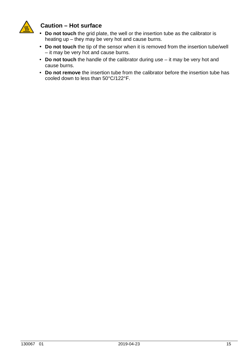

#### **Caution – Hot surface**

- **Do not touch** the grid plate, the well or the insertion tube as the calibrator is heating up – they may be very hot and cause burns.
- • **Do not touch** the tip of the sensor when it is removed from the insertion tube/well – it may be very hot and cause burns.
- **Do not touch** the handle of the calibrator during use it may be very hot and cause burns.
- **Do not remove** the insertion tube from the calibrator before the insertion tube has cooled down to less than 50°C/122°F.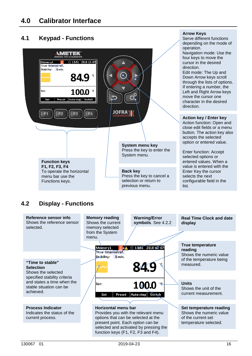## **4.1 Keypad - Functions**



**Arrow Keys** 

Serve different functions

## **4.2 Display - Functions**

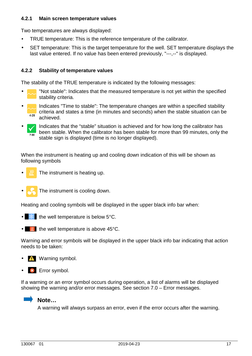#### **4.2.1 Main screen temperature values**

Two temperatures are always displayed:

- TRUE temperature: This is the reference temperature of the calibrator.
- SET temperature: This is the target temperature for the well. SET temperature displays the last value entered. If no value has been entered previously, "---,--" is displayed.

#### **4.2.2 Stability of temperature values**

The stability of the TRUE temperature is indicated by the following messages:

- "Not stable": Indicates that the measured temperature is not yet within the specified stability criteria.
- Indicates "Time to stable": The temperature changes are within a specified stability criteria and states a time (in minutes and seconds) when the stable situation can be  $4:29$ achieved.
- Indicates that the "stable" situation is achieved and for how long the calibrator has been stable. When the calibrator has been stable for more than 99 minutes, only the  $7:00$ stable sign is displayed (time is no longer displayed).

When the instrument is heating up and cooling down indication of this will be shown as following symbols

- The instrument is heating up.
- The instrument is cooling down.

Heating and cooling symbols will be displayed in the upper black info bar when:

- $\mathbb{R}$  the well temperature is below 5°C.
- $\bullet$   $\bullet$   $\bullet$  the well temperature is above 45°C.

Warning and error symbols will be displayed in the upper black info bar indicating that action needs to be taken:

- *I* Warning symbol.
- **\*** Error symbol.

If a warning or an error symbol occurs during operation, a list of alarms will be displayed showing the warning and/or error messages. See section 7.0 – Error messages.

## **Note…**

A warning will always surpass an error, even if the error occurs after the warning.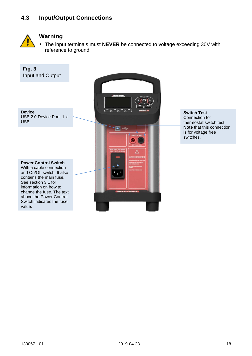#### **4.3 Input/Output Connections**



#### **Warning**

• The input terminals must **NEVER** be connected to voltage exceeding 30V with reference to ground.



**Switch Test**  Connection for thermostat switch test. **Note** that this connection is for voltage free switches.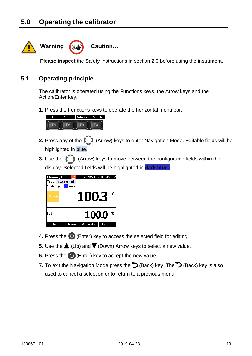

**Please inspect** the Safety Instructions in section 2.0 before using the instrument.

#### **5.1 Operating principle**

The calibrator is operated using the Functions keys, the Arrow keys and the Action/Enter key.

**1.** Press the Functions keys to operate the horizontal menu bar.



- **2.** Press any of the (Arrow) keys to enter Navigation Mode. Editable fields will be highlighted in blue.
- **3.** Use the (Arrow) keys to move between the configurable fields within the display. Selected fields will be highlighted in **dark blue..**



- **4.** Press the  $\bigcirc$  (Enter) key to access the selected field for editing.
- **5.** Use the  $\triangle$  (Up) and  $\nabla$  (Down) Arrow keys to select a new value.
- **6.** Press the  $\bigcirc$  (Enter) key to accept the new value
- **7.** To exit the Navigation Mode press the  $\bigcirc$  (Back) key. The  $\bigcirc$  (Back) key is also used to cancel a selection or to return to a previous menu.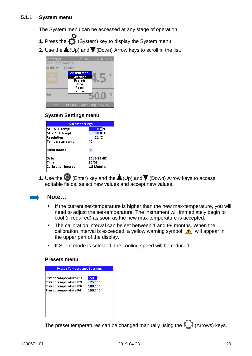The System menu can be accessed at any stage of operation:

- **1.** Press the  $\bullet$  (System) key to display the System menu.
- **2.** Use the  $\triangle$  (Up) and  $\nabla$  (Down) Arrow keys to scroll in the list.



#### **System Settings menu**

| <b>System Settings</b> |                |  |  |  |  |
|------------------------|----------------|--|--|--|--|
| Min. SET Temp:         | 0.0 °C         |  |  |  |  |
| Max. SET Temp:         | 650.0 °C       |  |  |  |  |
| <b>Resolution:</b>     | $0.1\degree$ C |  |  |  |  |
| Temperature unit:      | ۰c             |  |  |  |  |
| Silent mode:           | ☑              |  |  |  |  |
| Date                   | 2018-12-07     |  |  |  |  |
| Time                   | 13:54          |  |  |  |  |
| Calibration interval:  | 12 Months      |  |  |  |  |
|                        |                |  |  |  |  |

**1.** Use the  $\bigcirc$  (Enter) key and the  $\bigtriangleup$  (Up) and  $\bigvee$  (Down) Arrow keys to access editable fields, select new values and accept new values.



#### **Note…**

- If the current set-temperature is higher than the new max-temperature, you will need to adjust the set-temperature. The instrument will immediately begin to cool (if required) as soon as the new max-temperature is accepted.
- The calibration interval can be set between 1 and 99 months. When the calibration interval is exceeded, a yellow warning symbol  $\bigwedge$  will appear in the upper part of the display.
- If Silent mode is selected, the cooling speed will be reduced.

#### **Presets menu**

| <b>Preset Temperature Settings</b>                                                                   |                                                                           |  |  |  |  |  |
|------------------------------------------------------------------------------------------------------|---------------------------------------------------------------------------|--|--|--|--|--|
| Preset temperature F1:<br>Preset temperature F2:<br>Preset temperature F3:<br>Preset temperature F4: | 50.0 <sup>°</sup> C<br>75.0 °C<br>100.0 °C<br>$150.0\,^{\circ}\mathrm{C}$ |  |  |  |  |  |
|                                                                                                      |                                                                           |  |  |  |  |  |

The preset temperatures can be changed manually using the (Arrows) keys.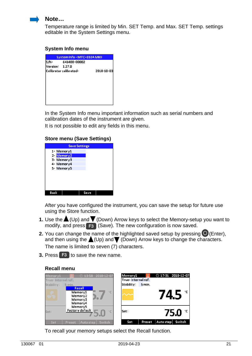

#### **Note…**

Temperature range is limited by Min. SET Temp. and Max. SET Temp. settings editable in the System Settings menu.

#### **System Info menu**

| System Info - MTC-650A MKII |                        |            |  |  |  |  |
|-----------------------------|------------------------|------------|--|--|--|--|
| ls/N:                       | 641488-00002           |            |  |  |  |  |
| Version: 1.27.0             |                        |            |  |  |  |  |
|                             | Calibrator calibrated: | 2018-10-03 |  |  |  |  |
|                             |                        |            |  |  |  |  |
|                             |                        |            |  |  |  |  |
|                             |                        |            |  |  |  |  |
|                             |                        |            |  |  |  |  |
|                             |                        |            |  |  |  |  |
|                             |                        |            |  |  |  |  |
|                             |                        |            |  |  |  |  |

In the System Info menu important information such as serial numbers and calibration dates of the instrument are given.

It is not possible to edit any fields in this menu.

#### **Store menu (Save Settings)**

| <b>Save Settings</b> |      |  |  |  |  |  |
|----------------------|------|--|--|--|--|--|
| 1- Memory1           |      |  |  |  |  |  |
| 2-Memory2            |      |  |  |  |  |  |
| 3- Memory3           |      |  |  |  |  |  |
| 4- Memory4           |      |  |  |  |  |  |
| 5-Memory5            |      |  |  |  |  |  |
|                      |      |  |  |  |  |  |
|                      |      |  |  |  |  |  |
|                      |      |  |  |  |  |  |
|                      |      |  |  |  |  |  |
| Back                 | Save |  |  |  |  |  |
|                      |      |  |  |  |  |  |

After you have configured the instrument, you can save the setup for future use using the Store function.

- **1.** Use the  $\triangle$  (Up) and  $\blacktriangledown$  (Down) Arrow keys to select the Memory-setup you want to modify, and press **F3** (Save). The new configuration is now saved.
- **2.** You can change the name of the highlighted saved setup by pressing  $\bigcirc$  (Enter), and then using the  $\triangle$  (Up) and  $\nabla$  (Down) Arrow keys to change the characters. The name is limited to seven (7) characters.
- **3.** Press **F3** to save the new name.

#### **Recall menu**

| 2018-12-07                                                                       | R                                 |
|----------------------------------------------------------------------------------|-----------------------------------|
| ⊙ 13:58                                                                          | $\odot$ 17:31 2018-12-07          |
| Memory1                                                                          | Memory1                           |
| True: Internal ref.                                                              | True: Internal ref.               |
| Stability:<br>5 min.<br>Recall<br>°С<br>Memory1<br>Memory2<br>Memory3<br>Memory4 | Stability:<br>5 min.<br>۰c<br>745 |
| Memory5<br>Factory default<br>°C.<br>Set:                                        | ۰c<br>lSet:<br>75.0               |
| <b>Switch</b>                                                                    | Auto step                         |
| <b>Set</b>                                                                       | Switch                            |
| Auto step                                                                        | Set                               |
| <b>Preset</b>                                                                    | Preset                            |

To recall your memory setups select the Recall function.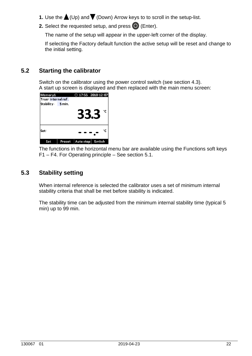- **1.** Use the  $\triangle$  (Up) and  $\nabla$  (Down) Arrow keys to to scroll in the setup-list.
- **2.** Select the requested setup, and press  $\bigcirc$  (Enter).

The name of the setup will appear in the upper-left corner of the display.

If selecting the Factory default function the active setup will be reset and change to the initial setting.

#### **5.2 Starting the calibrator**

 Switch on the calibrator using the power control switch (see section 4.3). A start up screen is displayed and then replaced with the main menu screen:

| Memory1<br> True: Internal ref. |        | $②$ 17:55 2018-12-07 |        |
|---------------------------------|--------|----------------------|--------|
| Stability:                      | 5 min. | 33.3                 | °C     |
| lSet:                           |        |                      | °C     |
| Set                             | Preset | Auto step            | Switch |

The functions in the horizontal menu bar are available using the Functions soft keys F1 – F4. For Operating principle – See section 5.1.

#### **5.3 Stability setting**

When internal reference is selected the calibrator uses a set of minimum internal stability criteria that shall be met before stability is indicated.

The stability time can be adjusted from the minimum internal stability time (typical 5 min) up to 99 min.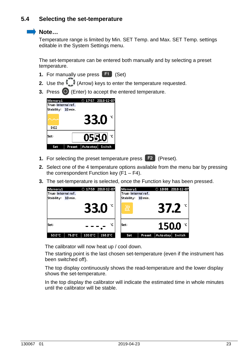#### **5.4 Selecting the set-temperature**

#### **Note…**

Temperature range is limited by Min. SET Temp. and Max. SET Temp. settings editable in the System Settings menu.

The set-temperature can be entered both manually and by selecting a preset temperature.

- **1.** For manually use press **F1** (Set)
- **2.** Use the (Arrow) keys to enter the temperature requested.
- **3.** Press  $\bigcirc$  (Enter) to accept the entered temperature.

| Memory1<br>lTrue: Internal ref. |        | ① 17:57 2018-12-07    |
|---------------------------------|--------|-----------------------|
| Stability: 10 min.              |        |                       |
| 9:02                            |        | $\circ$<br>33.0       |
| Set:                            |        | 055.0                 |
| Set                             | Preset | Auto step  <br>Switch |

- **1.** For selecting the preset temperature press **F2** (Preset).
- **2.** Select one of the 4 temperature options available from the menu bar by pressing the correspondent Function key  $(F1 - F4)$ .
- **3.** The set-temperature is selected, once the Function key has been pressed.

| Memory1<br> True: Internal ref. | $\odot$ 17:59 2018-12-07<br>Memory1              | $\odot$ 18:00 2018-12-07<br>True: Internal ref. |
|---------------------------------|--------------------------------------------------|-------------------------------------------------|
| Stability: 10 min.              |                                                  | Stability: 10 min.                              |
|                                 | <b>33.0</b><br>忽                                 | $37.2^{\circ}$                                  |
| lSet:                           | °C<br>lSet:                                      | $150.0 \degree$                                 |
| 50.0°C<br>75.0°C                | $100.0^\circ$ C<br>$150.0^\circ$ C<br><b>Set</b> | Switch<br>Auto step<br>Preset                   |

The calibrator will now heat up / cool down.

 The starting point is the last chosen set-temperature (even if the instrument has been switched off).

 The top display continuously shows the read-temperature and the lower display shows the set-temperature.

 In the top display the calibrator will indicate the estimated time in whole minutes until the calibrator will be stable.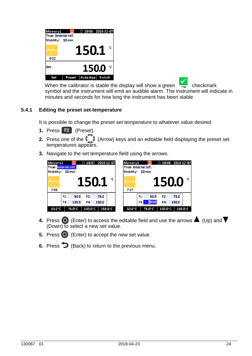

When the calibrator is stable the display will show a green  $\frac{1}{700}$  checkmark symbol and the instrument will emit an audible alarm. The instrument will indicate in minutes and seconds for how long the instrument has been stable.

#### **5.4.1 Editing the preset set-temperature**

It is possible to change the preset set temperature to whatever value desired.

- **1.** Press **F2** (Preset).
- **2.** Press one of the (Arrow) keys and an editable field displaying the preset set temperatures appears.
- **3.** Navigate to the set temperature field using the arrows.



- **4.** Press  $\bigcirc$  (Enter) to access the editable field and use the arrows  $\bigcirc$  (Up) and  $\bigvee$ (Down) to select a new set value.
- **5.** Press  $\bigcirc$  (Enter) to accept the new set value.
- **6.** Press  $\sum$  (Back) to return to the previous menu.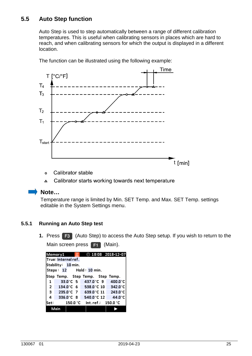#### **5.5 Auto Step function**

Auto Step is used to step automatically between a range of different calibration temperatures. This is useful when calibrating sensors in places which are hard to reach, and when calibrating sensors for which the output is displayed in a different location.



The function can be illustrated using the following example:

- Calibrator stable  $\bullet$
- $\Delta$ Calibrator starts working towards next temperature

#### **Note…**

Temperature range is limited by Min. SET Temp. and Max. SET Temp. settings editable in the System Settings menu.

#### **5.5.1 Running an Auto Step test**

**1.** Press **F3** (Auto Step) to access the Auto Step setup. If you wish to return to the

Main screen press **F1** (Main).

|                                         | True: Internal ref.     |                      |  |  |                       |                                  |  |
|-----------------------------------------|-------------------------|----------------------|--|--|-----------------------|----------------------------------|--|
|                                         | Stability: 10 min.      |                      |  |  |                       |                                  |  |
|                                         | Steps: 12 Hold: 10 min. |                      |  |  |                       |                                  |  |
|                                         |                         |                      |  |  |                       | Step Temp. Step Temp. Step Temp. |  |
| 1                                       |                         | 33.0°C 5             |  |  | $437.0^{\circ}$ C 9   | $400.0^{\circ}$ C                |  |
|                                         | $2\,$ 134.0 °C 6        |                      |  |  |                       | 538.0 °C 10 342.0 °C             |  |
| $\mathbf{3}$                            | $235.0^{\circ}$ C 7     |                      |  |  |                       | 639.0 °C 11 243.0 °C             |  |
| 4                                       |                         | 336.0 $^{\circ}$ C 8 |  |  | 540.0 $^{\circ}$ C 12 | $44.0^{\circ}$ C                 |  |
| Int.ref.: 150.0 °C<br>150.0 °C<br> Set: |                         |                      |  |  |                       |                                  |  |
| Main                                    |                         |                      |  |  |                       |                                  |  |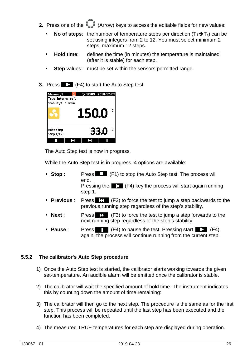- **2.** Press one of the (Arrow) keys to access the editable fields for new values:
	- **No of steps:** the number of temperature steps per direction  $(T_1 \rightarrow T_x)$  can be set using integers from 2 to 12. You must select minimum 2 steps, maximum 12 steps.
	- **Hold time**: defines the time (in minutes) the temperature is maintained (after it is stable) for each step.
	- **Step** values: must be set within the sensors permitted range.
- **3.** Press **Fig. 3.** (F4) to start the Auto Step test.

| Memory1<br> True: Internal ref.<br>Stability: 10 min. | - 98 | $②$ 18:09 2018-12-07 |      |              |
|-------------------------------------------------------|------|----------------------|------|--------------|
|                                                       |      | 150.0                |      | °C           |
| Auto step<br>Step 1/12:                               |      |                      | 33.0 | $^{\circ}$ c |
|                                                       | ĸ    |                      |      |              |

The Auto Step test is now in progress.

While the Auto Step test is in progress, 4 options are available:

|                 | Stop:        | Press $\Box$ (F1) to stop the Auto Step test. The process will<br>end.                                                                  |
|-----------------|--------------|-----------------------------------------------------------------------------------------------------------------------------------------|
|                 |              | Pressing the $\geq$ (F4) key the process will start again running<br>step 1.                                                            |
|                 | • Previous : | Press $\mathbb{K}$ (F2) to force the test to jump a step backwards to the<br>previous running step regardless of the step's stability.  |
| $\bullet$ Next: |              | Press $\Sigma$ (F3) to force the test to jump a step forwards to the<br>next running step regardless of the step's stability.           |
| • Pause :       |              | $(F4)$ to pause the test. Pressing start $\Box$ (F4)<br>Press  <br>Ш<br>again, the process will continue running from the current step. |

#### **5.5.2 The calibrator's Auto Step procedure**

- 1) Once the Auto Step test is started, the calibrator starts working towards the given set-temperature. An audible alarm will be emitted once the calibrator is stable.
- 2) The calibrator will wait the specified amount of hold time. The instrument indicates this by counting down the amount of time remaining:
- 3) The calibrator will then go to the next step. The procedure is the same as for the first step. This process will be repeated until the last step has been executed and the function has been completed.
- 4) The measured TRUE temperatures for each step are displayed during operation.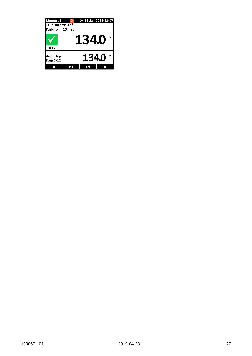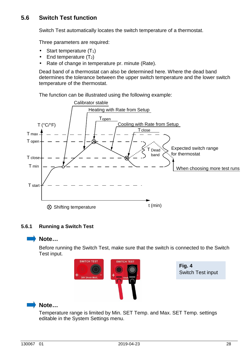#### **5.6 Switch Test function**

Switch Test automatically locates the switch temperature of a thermostat.

Three parameters are required:

- Start temperature  $(T_1)$
- End temperature  $(T_2)$
- Rate of change in temperature pr. minute (Rate).

Dead band of a thermostat can also be determined here. Where the dead band determines the tolerance between the upper switch temperature and the lower switch temperature of the thermostat.

The function can be illustrated using the following example:



#### **5.6.1 Running a Switch Test**

## **Note…**

 Before running the Switch Test, make sure that the switch is connected to the Switch Test input.



**Fig. 4**  Switch Test input



Temperature range is limited by Min. SET Temp. and Max. SET Temp. settings editable in the System Settings menu.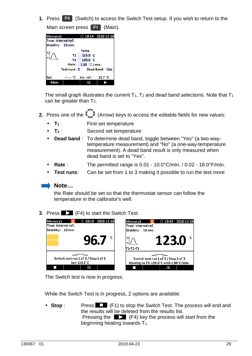**1.** Press **F4** (Switch) to access the Switch Test setup. If you wish to return to the Main screen press **F1** (Main).

| Memory1             |              |                                 | $②$ 10:14 2018-12-10 |
|---------------------|--------------|---------------------------------|----------------------|
| True: Internal ref. |              |                                 |                      |
| Stability: 10 min.  |              |                                 |                      |
|                     |              | Temp.                           |                      |
|                     | T1           | 115.0 $^{\circ}$ C              |                      |
|                     | T2.          | 135.0 $°C$                      |                      |
|                     | Rate:        | 1.00 °C / min.                  |                      |
|                     | Test runs: 3 |                                 | Dead Band: Yes       |
|                     |              |                                 |                      |
| lSet:               |              | $--- ^ cC$ Int.ref.: 21.7 $^cC$ |                      |
| Main                |              |                                 |                      |

The small graph illustrates the current  $T_1$ ,  $T_2$  and dead band selections. Note that  $T_1$ can be greater than  $T_2$ .

- **2.** Press one of the (Arrow) keys to access the editable fields for new values:
	- **T<sup>1</sup>**: First set temperature
	- **T2** : Second set temperature
	- **Dead band** : To determine dead band, toggle between "Yes" (a two-way temperature measurement) and "No" (a one-way-temperature measurement). A dead band result is only measured when dead band is set to "Yes".
	- **Rate**: The permitted range is 0.01 10.0°C/min. / 0.02 18.0°F/min.
	- **Test runs:** Can be set from 1 to 3 making it possible to run the test more

#### **Note…**

the Rate should be set so that the thermostat sensor can follow the temperature in the calibrator's well.

**3.** Press  $\geq$  (F4) to start the Switch Test.



The Switch test is now in progress.

While the Switch Test is in progress, 2 options are available:

• **Stop** : Press **Fig. 1** (F1) to stop the Switch Test. The process will end and the results will be deleted from the results list. Pressing the  $\Box$  (F4) key the process will start from the beginning heating towards  $T_1$ .

۰c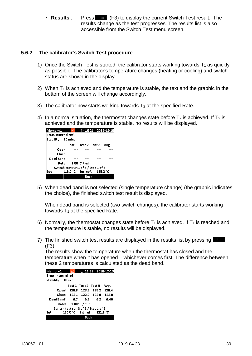• Results : Press **Hill** (F3) to display the current Switch Test result. The results change as the test progresses. The results list is also accessible from the Switch Test menu screen.

#### **5.6.2 The calibrator's Switch Test procedure**

- 1) Once the Switch Test is started, the calibrator starts working towards  $T_1$  as quickly as possible. The calibrator's temperature changes (heating or cooling) and switch status are shown in the display.
- 2) When  $T_1$  is achieved and the temperature is stable, the text and the graphic in the bottom of the screen will change accordingly.
- 3) The calibrator now starts working towards  $T_2$  at the specified Rate.
- 4) In a normal situation, the thermostat changes state before  $T_2$  is achieved. If  $T_2$  is achieved and the temperature is stable, no results will be displayed.



5) When dead band is not selected (single temperature change) (the graphic indicates the choice), the finished switch test result is displayed.

When dead band is selected (two switch changes), the calibrator starts working towards  $T_1$  at the specified Rate.

- 6) Normally, the thermostat changes state before  $T_1$  is achieved. If  $T_1$  is reached and the temperature is stable, no results will be displayed.
- 7) The finished switch test results are displayed in the results list by pressing **Fill** (F3).

The results show the temperature when the thermostat has closed and the temperature when it has opened – whichever comes first. The difference between these 2 temperatures is calculated as the dead band.

| Memory1                              |                            | $\odot$ 11:22 2018-12-10       |      |
|--------------------------------------|----------------------------|--------------------------------|------|
| True: Internal ref.                  |                            |                                |      |
| Stability: 10 min.                   |                            |                                |      |
|                                      | Test1 Test2 Test3          |                                | Avg. |
| Open:                                |                            | 128.8 128.3 128.2 128.4        |      |
|                                      |                            | Close: 122.1 122.0 122.0 122.0 |      |
| Dead Band: 6.7 6.3 6.2               |                            |                                | 6.40 |
|                                      | Rate: $1.00\degree$ C/min. |                                |      |
| Switch test run 3 of 3 / Step 1 of 3 |                            |                                |      |
| Set:                                 |                            | 115.0 °C lnt.ref.: 121.9 °C    |      |
|                                      | Back                       |                                |      |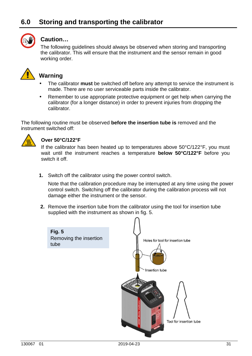# **6.0 Storing and transporting the calibrator**



#### **Caution…**

The following guidelines should always be observed when storing and transporting the calibrator. This will ensure that the instrument and the sensor remain in good working order.



## **Warning**

- The calibrator **must** be switched off before any attempt to service the instrument is made. There are no user serviceable parts inside the calibrator.
- Remember to use appropriate protective equipment or get help when carrying the calibrator (for a longer distance) in order to prevent injuries from dropping the calibrator.

The following routine must be observed **before the insertion tube is** removed and the instrument switched off:



#### **Over 50°C/122°F**

If the calibrator has been heated up to temperatures above 50°C/122°F, you must wait until the instrument reaches a temperature **below 50°C/122°F** before you switch it off.

**1.** Switch off the calibrator using the power control switch.

 Note that the calibration procedure may be interrupted at any time using the power control switch. Switching off the calibrator during the calibration process will not damage either the instrument or the sensor.

**2.** Remove the insertion tube from the calibrator using the tool for insertion tube supplied with the instrument as shown in fig. 5.

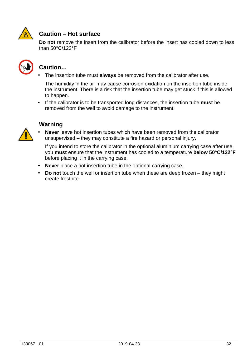

## **Caution – Hot surface**

 **Do not** remove the insert from the calibrator before the insert has cooled down to less than 50°C/122°F



#### **Caution…**

• The insertion tube must **always** be removed from the calibrator after use.

 The humidity in the air may cause corrosion oxidation on the insertion tube inside the instrument. There is a risk that the insertion tube may get stuck if this is allowed to happen.

• If the calibrator is to be transported long distances, the insertion tube **must** be removed from the well to avoid damage to the instrument.

#### **Warning**



• **Never** leave hot insertion tubes which have been removed from the calibrator unsupervised – they may constitute a fire hazard or personal injury.

If you intend to store the calibrator in the optional aluminium carrying case after use, you **must** ensure that the instrument has cooled to a temperature **below 50°C/122°F** before placing it in the carrying case.

- **Never** place a hot insertion tube in the optional carrying case.
- **Do not** touch the well or insertion tube when these are deep frozen they might create frostbite.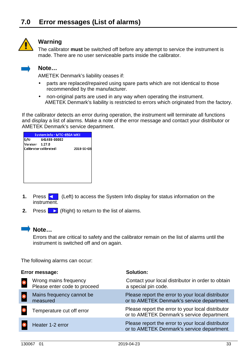

#### **Warning**

The calibrator **must** be switched off before any attempt to service the instrument is made. There are no user serviceable parts inside the calibrator.



#### **Note…**

AMETEK Denmark's liability ceases if:

- parts are replaced/repaired using spare parts which are not identical to those recommended by the manufacturer.
- non-original parts are used in any way when operating the instrument. AMETEK Denmark's liability is restricted to errors which originated from the factory.

If the calibrator detects an error during operation, the instrument will terminate all functions and display a list of alarms. Make a note of the error message and contact your distributor or AMETEK Denmark's service department.

|                 | System Info - MTC-650A MKII |            |
|-----------------|-----------------------------|------------|
| S/N:            | 641488-00002                |            |
| Version: 1.27.0 |                             |            |
|                 | Calibrator calibrated:      | 2018-10-03 |
|                 |                             |            |
|                 |                             |            |
|                 |                             |            |
|                 |                             |            |
|                 |                             |            |
|                 |                             |            |
|                 |                             |            |

- **1.** Press  $\leq$  (Left) to access the System Info display for status information on the instrument.
- **2.** Press  $\blacktriangleright$  (Right) to return to the list of alarms.



#### **Note…**

Errors that are critical to safety and the calibrator remain on the list of alarms until the instrument is switched off and on again.

The following alarms can occur:

| Error message:                                        | Solution:                                                                                       |
|-------------------------------------------------------|-------------------------------------------------------------------------------------------------|
| Wrong mains frequency<br>Please enter code to proceed | Contact your local distributor in order to obtain<br>a special pin code.                        |
| Mains frequency cannot be<br>measured                 | Please report the error to your local distributor<br>or to AMETEK Denmark's service department. |
| Temperature cut off error                             | Please report the error to your local distributor<br>or to AMETEK Denmark's service department. |
| Heater 1-2 error                                      | Please report the error to your local distributor<br>or to AMETEK Denmark's service department. |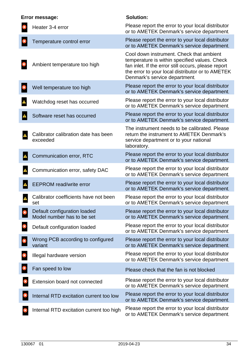| Error message:                                             | <b>Solution:</b>                                                                                                                                                                                                                      |
|------------------------------------------------------------|---------------------------------------------------------------------------------------------------------------------------------------------------------------------------------------------------------------------------------------|
| Heater 3-4 error                                           | Please report the error to your local distributor<br>or to AMETEK Denmark's service department.                                                                                                                                       |
| Temperature control error                                  | Please report the error to your local distributor<br>or to AMETEK Denmark's service department.                                                                                                                                       |
| Ambient temperature too high                               | Cool down instrument. Check that ambient<br>temperature is within specified values. Check<br>fan inlet. If the error still occurs, please report<br>the error to your local distributor or to AMETEK<br>Denmark's service department. |
| Well temperature too high                                  | Please report the error to your local distributor<br>or to AMETEK Denmark's service department.                                                                                                                                       |
| Watchdog reset has occurred                                | Please report the error to your local distributor<br>or to AMETEK Denmark's service department.                                                                                                                                       |
| Software reset has occurred                                | Please report the error to your local distributor<br>or to AMETEK Denmark's service department.                                                                                                                                       |
| Calibrator calibration date has been<br>exceeded           | The instrument needs to be calibrated. Please<br>return the instrument to AMETEK Denmark's<br>service department or to your national<br>laboratory.                                                                                   |
| Communication error, RTC                                   | Please report the error to your local distributor<br>or to AMETEK Denmark's service department.                                                                                                                                       |
| Communication error, safety DAC                            | Please report the error to your local distributor<br>or to AMETEK Denmark's service department.                                                                                                                                       |
| <b>EEPROM</b> read/write error                             | Please report the error to your local distributor<br>or to AMETEK Denmark's service department.                                                                                                                                       |
| Calibrator coefficients have not been<br>set               | Please report the error to your local distributor<br>or to AMETEK Denmark's service department.                                                                                                                                       |
| Default configuration loaded<br>Model number has to be set | Please report the error to your local distributor<br>or to AMETEK Denmark's service department.                                                                                                                                       |
| Default configuration loaded                               | Please report the error to your local distributor<br>or to AMETEK Denmark's service department.                                                                                                                                       |
| Wrong PCB according to configured<br>variant               | Please report the error to your local distributor<br>or to AMETEK Denmark's service department.                                                                                                                                       |
| Illegal hardware version                                   | Please report the error to your local distributor<br>or to AMETEK Denmark's service department.                                                                                                                                       |
| Fan speed to low                                           | Please check that the fan is not blocked                                                                                                                                                                                              |
| Extension board not connected                              | Please report the error to your local distributor<br>or to AMETEK Denmark's service department.                                                                                                                                       |
| Internal RTD excitation current too low                    | Please report the error to your local distributor<br>or to AMETEK Denmark's service department.                                                                                                                                       |
| Internal RTD excitation current too high                   | Please report the error to your local distributor<br>or to AMETEK Denmark's service department.                                                                                                                                       |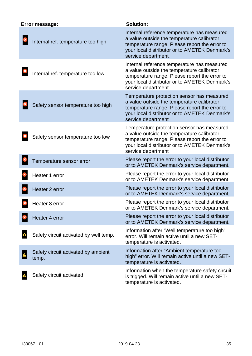| Error message:                               | <b>Solution:</b>                                                                                                                                                                                                   |
|----------------------------------------------|--------------------------------------------------------------------------------------------------------------------------------------------------------------------------------------------------------------------|
| Internal ref. temperature too high           | Internal reference temperature has measured<br>a value outside the temperature calibrator<br>temperature range. Please report the error to<br>your local distributor or to AMETEK Denmark's<br>service department. |
| Internal ref. temperature too low            | Internal reference temperature has measured<br>a value outside the temperature calibrator<br>temperature range. Please report the error to<br>your local distributor or to AMETEK Denmark's<br>service department. |
| Safety sensor temperature too high           | Temperature protection sensor has measured<br>a value outside the temperature calibrator<br>temperature range. Please report the error to<br>your local distributor or to AMETEK Denmark's<br>service department.  |
| Safety sensor temperature too low            | Temperature protection sensor has measured<br>a value outside the temperature calibrator<br>temperature range. Please report the error to<br>your local distributor or to AMETEK Denmark's<br>service department.  |
| Temperature sensor error                     | Please report the error to your local distributor<br>or to AMETEK Denmark's service department.                                                                                                                    |
| Heater 1 error                               | Please report the error to your local distributor<br>or to AMETEK Denmark's service department.                                                                                                                    |
| Heater 2 error                               | Please report the error to your local distributor<br>or to AMETEK Denmark's service department.                                                                                                                    |
| Heater 3 error                               | Please report the error to your local distributor<br>or to AMETEK Denmark's service department.                                                                                                                    |
| Heater 4 error                               | Please report the error to your local distributor<br>or to AMETEK Denmark's service department.                                                                                                                    |
| Safety circuit activated by well temp.       | Information after "Well temperature too high"<br>error. Will remain active until a new SET-<br>temperature is activated.                                                                                           |
| Safety circuit activated by ambient<br>temp. | Information after "Ambient temperature too<br>high" error. Will remain active until a new SET-<br>temperature is activated.                                                                                        |
| Safety circuit activated                     | Information when the temperature safety circuit<br>is trigged. Will remain active until a new SET-<br>temperature is activated.                                                                                    |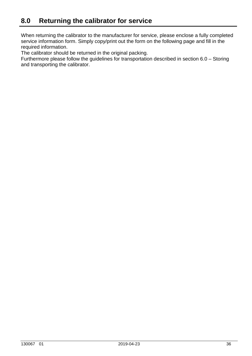When returning the calibrator to the manufacturer for service, please enclose a fully completed service information form. Simply copy/print out the form on the following page and fill in the required information.

The calibrator should be returned in the original packing.

Furthermore please follow the guidelines for transportation described in section 6.0 – Storing and transporting the calibrator.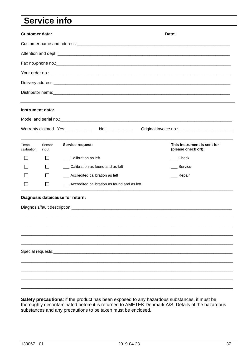# Service info

Safety precautions: if the product has been exposed to any hazardous substances, it must be thoroughly decontaminated before it is returned to AMETEK Denmark A/S. Details of the hazardous substances and any precautions to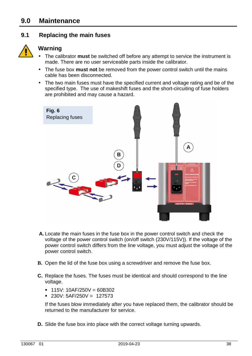## **9.0 Maintenance**

#### **9.1 Replacing the main fuses**



## **Warning**

- The calibrator **must** be switched off before any attempt to service the instrument is made. There are no user serviceable parts inside the calibrator.
- The fuse box **must not** be removed from the power control switch until the mains cable has been disconnected.
- The two main fuses must have the specified current and voltage rating and be of the specified type. The use of makeshift fuses and the short-circuiting of fuse holders are prohibited and may cause a hazard.



- **A.** Locate the main fuses in the fuse box in the power control switch and check the voltage of the power control switch (on/off switch (230V/115V)). If the voltage of the power control switch differs from the line voltage, you must adjust the voltage of the power control switch.
- **B.** Open the lid of the fuse box using a screwdriver and remove the fuse box.
- **C.** Replace the fuses. The fuses must be identical and should correspond to the line voltage.
	- $\blacksquare$  115V: 10AF/250V = 60B302
	- $\bullet$  230V: 5AF/250V = 127573

If the fuses blow immediately after you have replaced them, the calibrator should be returned to the manufacturer for service.

**D.** Slide the fuse box into place with the correct voltage turning upwards.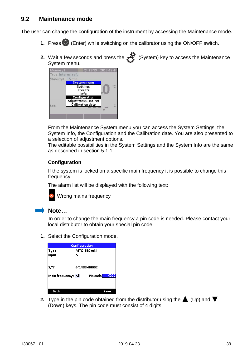#### **9.2 Maintenance mode**

The user can change the configuration of the instrument by accessing the Maintenance mode.

- **1.** Press  $\bigcirc$  (Enter) while switching on the calibrator using the ON/OFF switch.
- **2.** Wait a few seconds and press the **19** (System) key to access the Maintenance System menu.



From the Maintenance System menu you can access the System Settings, the System Info, the Configuration and the Calibration date. You are also presented to a selection of adjustment options.

The editable possibilities in the System Settings and the System Info are the same as described in section 5.1.1.

#### **Configuration**

If the system is locked on a specific main frequency it is possible to change this frequency.

The alarm list will be displayed with the following text:



Wrong mains frequency

#### **Note…**

In order to change the main frequency a pin code is needed. Please contact your local distributor to obtain your special pin code.

**1.** Select the Configuration mode.

|                     | <b>Configuration</b> |                         |        |
|---------------------|----------------------|-------------------------|--------|
| Type:               |                      | MTC-650 mkll            |        |
| Input:              | А                    |                         |        |
| S/N:                |                      | 641488-00002            |        |
| Main frequency: All |                      | Pin code <mark>l</mark> | [1]000 |
|                     |                      |                         |        |
| Back                |                      |                         | Save   |

**2.** Type in the pin code obtained from the distributor using the  $\triangle$  (Up) and  $\nabla$ (Down) keys. The pin code must consist of 4 digits.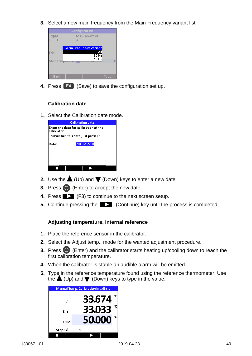**3.** Select a new main frequency from the Main Frequency variant list



**4.** Press **F4** (Save) to save the configuration set up.

#### **Calibration date**

**1.** Select the Calibration date mode.

|                                                       | <b>Calibration date</b> |  |
|-------------------------------------------------------|-------------------------|--|
| Enter the date for calibration of the<br>lcalibrator. |                         |  |
| To maintain this date just press F3                   |                         |  |
| Date:                                                 | 2018-12-10              |  |
|                                                       |                         |  |
|                                                       |                         |  |

- **2.** Use the  $\triangle$  (Up) and  $\nabla$  (Down) keys to enter a new date.
- **3.** Press  $\bigcirc$  (Enter) to accept the new date.
- **4.** Press **EX** (F3) to continue to the next screen setup.
- **5.** Continue pressing the **EX** (Continue) key until the process is completed.

#### **Adjusting temperature, internal reference**

- **1.** Place the reference sensor in the calibrator.
- **2.** Select the Adjust temp., mode for the wanted adjustment procedure.
- **3.** Press  $\bigcirc$  (Enter) and the calibrator starts heating up/cooling down to reach the first calibration temperature.
- **4.** When the calibrator is stable an audible alarm will be emitted.
- **5.** Type in the reference temperature found using the reference thermometer. Use the  $\triangle$  (Up) and  $\nabla$  (Down) keys to type in the value.

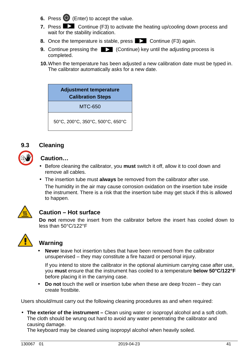- **6.** Press  $\bigcirc$  (Enter) to accept the value.
- **7.** Press **Continue** (F3) to activate the heating up/cooling down process and wait for the stability indication.
- **8.** Once the temperature is stable, press **CONTING 2015** Continue (F3) again.
- **9.** Continue pressing the  $\Box$  (Continue) key until the adjusting process is completed.
- **10.** When the temperature has been adjusted a new calibration date must be typed in. The calibrator automatically asks for a new date.

## **Adjustment temperature Calibration Steps**

MTC-650

50°C, 200°C, 350°C, 500°C, 650°C

#### **9.3 Cleaning**

| 必 |
|---|
|---|

#### **Caution…**

- Before cleaning the calibrator, you **must** switch it off, allow it to cool down and remove all cables.
- The insertion tube must **always** be removed from the calibrator after use. The humidity in the air may cause corrosion oxidation on the insertion tube inside the instrument. There is a risk that the insertion tube may get stuck if this is allowed to happen.



## **Caution – Hot surface**

 **Do not** remove the insert from the calibrator before the insert has cooled down to less than 50°C/122°F



# **Warning**

• **Never** leave hot insertion tubes that have been removed from the calibrator unsupervised – they may constitute a fire hazard or personal injury.

 If you intend to store the calibrator in the optional aluminium carrying case after use, you **must** ensure that the instrument has cooled to a temperature **below 50°C/122°F** before placing it in the carrying case.

• **Do not** touch the well or insertion tube when these are deep frozen – they can create frostbite.

Users should/must carry out the following cleaning procedures as and when required:

• **The exterior of the instrument –** Clean using water or isopropyl alcohol and a soft cloth. The cloth should be wrung out hard to avoid any water penetrating the calibrator and causing damage.

The keyboard may be cleaned using isopropyl alcohol when heavily soiled.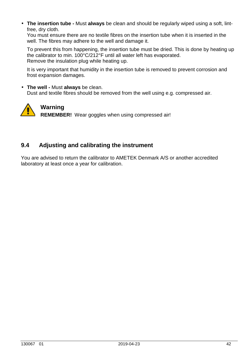• **The insertion tube -** Must **always** be clean and should be regularly wiped using a soft, lintfree, dry cloth.

 You must ensure there are no textile fibres on the insertion tube when it is inserted in the well. The fibres may adhere to the well and damage it.

 To prevent this from happening, the insertion tube must be dried. This is done by heating up the calibrator to min. 100°C/212°F until all water left has evaporated. Remove the insulation plug while heating up.

 It is very important that humidity in the insertion tube is removed to prevent corrosion and frost expansion damages.

• **The well -** Must **always** be clean. Dust and textile fibres should be removed from the well using e.g. compressed air.



**Warning** 

**REMEMBER!** Wear goggles when using compressed air!

#### **9.4 Adjusting and calibrating the instrument**

You are advised to return the calibrator to AMETEK Denmark A/S or another accredited laboratory at least once a year for calibration.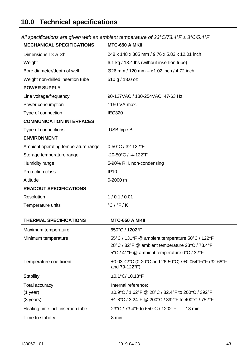# **10.0 Technical specifications**

| <b>MECHANICAL SPECIFICATIONS</b>    | <b>MTC-650 A MKII</b>                                 |
|-------------------------------------|-------------------------------------------------------|
| Dimensions $1 \times w \times h$    | 248 x 148 x 305 mm / 9.76 x 5.83 x 12.01 inch         |
| Weight                              | 6.1 kg / 13.4 lbs (without insertion tube)            |
| Bore diameter/depth of well         | $\varnothing$ 26 mm / 120 mm – ø1.02 inch / 4.72 inch |
| Weight non-drilled insertion tube   | 510 g / 18.0 oz                                       |
| <b>POWER SUPPLY</b>                 |                                                       |
| Line voltage/frequency              | 90-127VAC / 180-254VAC 47-63 Hz                       |
| Power consumption                   | 1150 VA max.                                          |
| Type of connection                  | <b>IEC320</b>                                         |
| <b>COMMUNICATION INTERFACES</b>     |                                                       |
| Type of connections                 | USB type B                                            |
| <b>ENVIRONMENT</b>                  |                                                       |
| Ambient operating temperature range | 0-50°C / 32-122°F                                     |
| Storage temperature range           | -20-50°C / -4-122°F                                   |
| Humidity range                      | 5-90% RH, non-condensing                              |
| <b>Protection class</b>             | <b>IP10</b>                                           |
| Altitude                            | 0-2000 m                                              |
| <b>READOUT SPECIFICATIONS</b>       |                                                       |
| Resolution                          | 1/0.1/0.01                                            |
| Temperature units                   | $°C$ / $°C$ / K                                       |
|                                     |                                                       |

All specifications are given with an ambient temperature of  $23^{\circ}$ C/73.4°F  $\pm$  3°C/5.4°F

| <b>THERMAL SPECIFICATIONS</b>     | <b>MTC-650 A MKII</b>                                                                             |
|-----------------------------------|---------------------------------------------------------------------------------------------------|
| Maximum temperature               | 650°C / 1202°F                                                                                    |
| Minimum temperature               | 55°C / 131°F @ ambient temperature 50°C / 122°F                                                   |
|                                   | 28°C / 82°F @ ambient temperature 23°C / 73.4°F                                                   |
|                                   | 5°C / 41°F @ ambient temperature 0°C / 32°F                                                       |
| Temperature coefficient           | $\pm 0.03^{\circ}$ C/°C (0-20°C and 26-50°C) / $\pm 0.054^{\circ}$ F/°F (32-68°F<br>and 79-122°F) |
| Stability                         | $\pm 0.1^{\circ}$ C/ $\pm 0.18^{\circ}$ F                                                         |
| Total accuracy                    | Internal reference:                                                                               |
| $(1$ year)                        | ±0.9°C / 1.62°F @ 28°C / 82.4°F to 200°C / 392°F                                                  |
| $(3 \text{ years})$               | $\pm$ 1.8°C / 3.24°F @ 200°C / 392°F to 400°C / 752°F                                             |
| Heating time incl. insertion tube | 23°C / 73.4°F to 650°C / 1202°F :<br>18 min.                                                      |
| Time to stability                 | 8 min.                                                                                            |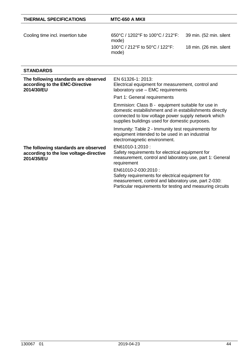| <b>THERMAL SPECIFICATIONS</b>     | MTC-650 A MKII                            |                         |
|-----------------------------------|-------------------------------------------|-------------------------|
| Cooling time incl. insertion tube | 650°C / 1202°F to 100°C / 212°F:<br>mode) | 39 min. (52 min. silent |
|                                   | 100°C / 212°F to 50°C / 122°F:<br>mode)   | 18 min. (26 min. silent |

#### **STANDARDS**

| The following standards are observed<br>according to the EMC-Directive<br>2014/30/EU         | EN 61326-1: 2013:<br>Electrical equipment for measurement, control and<br>laboratory use - EMC requirements                                                                                                           |
|----------------------------------------------------------------------------------------------|-----------------------------------------------------------------------------------------------------------------------------------------------------------------------------------------------------------------------|
|                                                                                              | Part 1: General requirements                                                                                                                                                                                          |
|                                                                                              | Emmision: Class B - equipment suitable for use in<br>domestic estabilishment and in estabilishments directly<br>connected to low voltage power supply network which<br>supplies buildings used for domestic purposes. |
|                                                                                              | Immunity: Table 2 - Immunity test requirements for<br>equipment intended to be used in an industrial<br>electromagnetic environment.                                                                                  |
| The following standards are observed<br>according to the low voltage-directive<br>2014/35/EU | EN61010-1:2010 :<br>Safety requirements for electrical equipment for<br>measurement, control and laboratory use, part 1: General<br>requirement                                                                       |
|                                                                                              | EN61010-2-030:2010:<br>Safety requirements for electrical equipment for<br>measurement, control and laboratory use, part 2-030:<br>Particular requirements for testing and measuring circuits                         |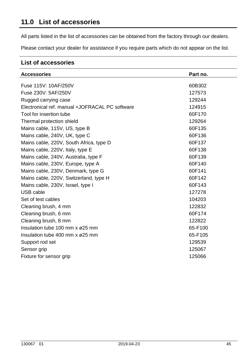All parts listed in the list of accessories can be obtained from the factory through our dealers.

Please contact your dealer for assistance if you require parts which do not appear on the list.

#### **List of accessories**

| <b>Accessories</b>                             | Part no. |
|------------------------------------------------|----------|
| Fuse 115V: 10AF/250V                           | 60B302   |
| Fuse 230V: 5AF/250V                            | 127573   |
| Rugged carrying case                           | 129244   |
| Electronical ref. manual +JOFRACAL PC software | 124915   |
| Tool for insertion tube                        | 60F170   |
| Thermal protection shield                      | 129264   |
| Mains cable, 115V, US, type B                  | 60F135   |
| Mains cable, 240V, UK, type C                  | 60F136   |
| Mains cable, 220V, South Africa, type D        | 60F137   |
| Mains cable, 220V, Italy, type E               | 60F138   |
| Mains cable, 240V, Australia, type F           | 60F139   |
| Mains cable, 230V, Europe, type A              | 60F140   |
| Mains cable, 230V, Denmark, type G             | 60F141   |
| Mains cable, 220V, Switzerland, type H         | 60F142   |
| Mains cable, 230V, Israel, type I              | 60F143   |
| USB cable                                      | 127278   |
| Set of test cables                             | 104203   |
| Cleaning brush, 4 mm                           | 122832   |
| Cleaning brush, 6 mm                           | 60F174   |
| Cleaning brush, 8 mm                           | 122822   |
| Insulation tube 100 mm $x \varnothing 25$ mm   | 65-F100  |
| Insulation tube 400 mm $x \varnothing 25$ mm   | 65-F105  |
| Support rod set                                | 129539   |
| Sensor grip                                    | 125067   |
| Fixture for sensor grip                        | 125066   |